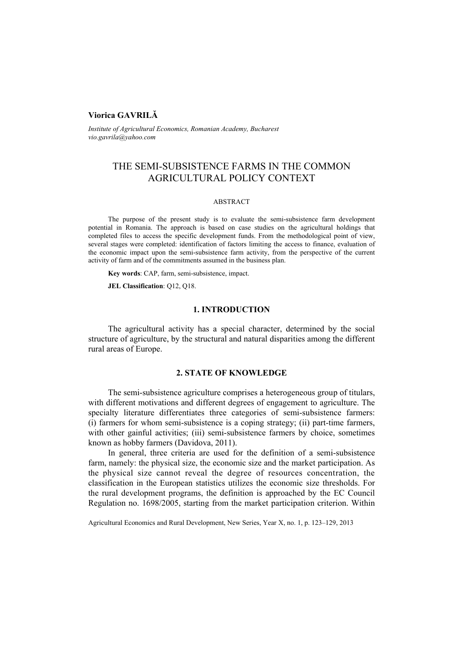# **Viorica GAVRILĂ**

*Institute of Agricultural Economics, Romanian Academy, Bucharest vio.gavrila@yahoo.com* 

# THE SEMI-SUBSISTENCE FARMS IN THE COMMON AGRICULTURAL POLICY CONTEXT

#### ABSTRACT

The purpose of the present study is to evaluate the semi-subsistence farm development potential in Romania. The approach is based on case studies on the agricultural holdings that completed files to access the specific development funds. From the methodological point of view, several stages were completed: identification of factors limiting the access to finance, evaluation of the economic impact upon the semi-subsistence farm activity, from the perspective of the current activity of farm and of the commitments assumed in the business plan.

**Key words**: CAP, farm, semi-subsistence, impact.

**JEL Classification**: Q12, Q18.

#### **1. INTRODUCTION**

The agricultural activity has a special character, determined by the social structure of agriculture, by the structural and natural disparities among the different rural areas of Europe.

#### **2. STATE OF KNOWLEDGE**

The semi-subsistence agriculture comprises a heterogeneous group of titulars, with different motivations and different degrees of engagement to agriculture. The specialty literature differentiates three categories of semi-subsistence farmers: (i) farmers for whom semi-subsistence is a coping strategy; (ii) part-time farmers, with other gainful activities; (iii) semi-subsistence farmers by choice, sometimes known as hobby farmers (Davidova, 2011).

In general, three criteria are used for the definition of a semi-subsistence farm, namely: the physical size, the economic size and the market participation. As the physical size cannot reveal the degree of resources concentration, the classification in the European statistics utilizes the economic size thresholds. For the rural development programs, the definition is approached by the EC Council Regulation no. 1698/2005, starting from the market participation criterion. Within

Agricultural Economics and Rural Development, New Series, Year X, no. 1, p. 123–129, 2013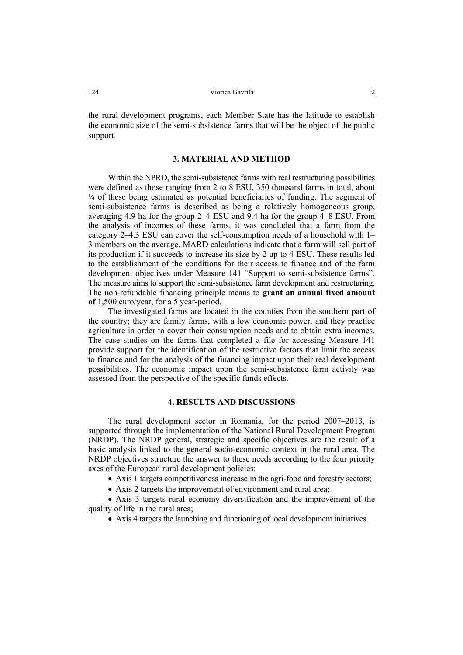the rural development programs, each Member State has the latitude to establish the economic size of the semi-subsistence farms that will be the object of the public support.

### **3. MATERIAL AND METHOD**

Within the NPRD, the semi-subsistence farms with real restructuring possibilities were defined as those ranging from 2 to 8 ESU, 350 thousand farms in total, about ¼ of these being estimated as potential beneficiaries of funding. The segment of semi-subsistence farms is described as being a relatively homogeneous group, averaging 4.9 ha for the group 2–4 ESU and 9.4 ha for the group 4–8 ESU. From the analysis of incomes of these farms, it was concluded that a farm from the category 2–4.3 ESU can cover the self-consumption needs of a household with 1– 3 members on the average. MARD calculations indicate that a farm will sell part of its production if it succeeds to increase its size by 2 up to 4 ESU. These results led to the establishment of the conditions for their access to finance and of the farm development objectives under Measure 141 "Support to semi-subsistence farms". The measure aims to support the semi-subsistence farm development and restructuring. The non-refundable financing principle means to **grant an annual fixed amount of** 1,500 euro/year, for a 5 year-period.

The investigated farms are located in the counties from the southern part of the country; they are family farms, with a low economic power, and they practice agriculture in order to cover their consumption needs and to obtain extra incomes. The case studies on the farms that completed a file for accessing Measure 141 provide support for the identification of the restrictive factors that limit the access to finance and for the analysis of the financing impact upon their real development possibilities. The economic impact upon the semi-subsistence farm activity was assessed from the perspective of the specific funds effects.

#### **4. RESULTS AND DISCUSSIONS**

The rural development sector in Romania, for the period 2007–2013, is supported through the implementation of the National Rural Development Program (NRDP). The NRDP general, strategic and specific objectives are the result of a basic analysis linked to the general socio-economic context in the rural area. The NRDP objectives structure the answer to these needs according to the four priority axes of the European rural development policies:

• Axis 1 targets competitiveness increase in the agri-food and forestry sectors;

• Axis 2 targets the improvement of environment and rural area;

• Axis 3 targets rural economy diversification and the improvement of the quality of life in the rural area;

• Axis 4 targets the launching and functioning of local development initiatives.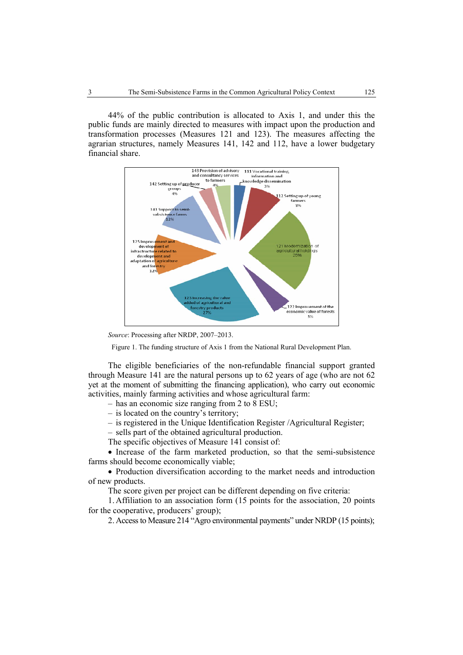44% of the public contribution is allocated to Axis 1, and under this the public funds are mainly directed to measures with impact upon the production and transformation processes (Measures 121 and 123). The measures affecting the agrarian structures, namely Measures 141, 142 and 112, have a lower budgetary financial share.



*Source*: Processing after NRDP, 2007–2013.

Figure 1. The funding structure of Axis 1 from the National Rural Development Plan.

The eligible beneficiaries of the non-refundable financial support granted through Measure 141 are the natural persons up to 62 years of age (who are not 62 yet at the moment of submitting the financing application), who carry out economic activities, mainly farming activities and whose agricultural farm:

– has an economic size ranging from 2 to 8 ESU;

- is located on the country's territory;
- is registered in the Unique Identification Register /Agricultural Register;

– sells part of the obtained agricultural production.

The specific objectives of Measure 141 consist of:

• Increase of the farm marketed production, so that the semi-subsistence farms should become economically viable;

• Production diversification according to the market needs and introduction of new products.

The score given per project can be different depending on five criteria:

1. Affiliation to an association form (15 points for the association, 20 points for the cooperative, producers' group);

2. Access to Measure 214 "Agro environmental payments" under NRDP (15 points);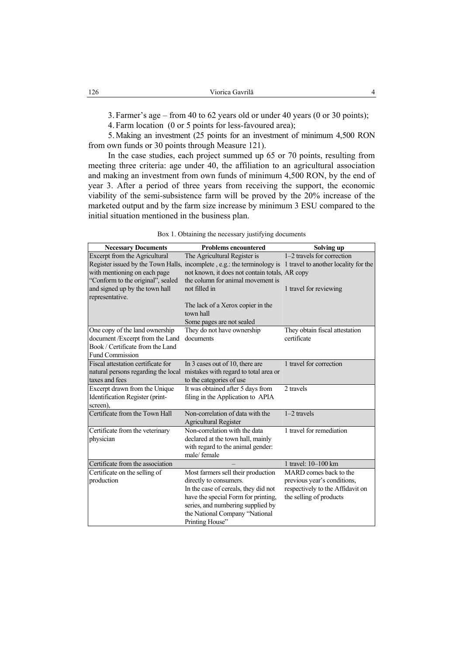3. Farmer's age – from 40 to 62 years old or under 40 years (0 or 30 points);

4. Farm location (0 or 5 points for less-favoured area);

5. Making an investment (25 points for an investment of minimum 4,500 RON from own funds or 30 points through Measure 121).

In the case studies, each project summed up 65 or 70 points, resulting from meeting three criteria: age under 40, the affiliation to an agricultural association and making an investment from own funds of minimum 4,500 RON, by the end of year 3. After a period of three years from receiving the support, the economic viability of the semi-subsistence farm will be proved by the 20% increase of the marketed output and by the farm size increase by minimum 3 ESU compared to the initial situation mentioned in the business plan.

| <b>Necessary Documents</b>                        | <b>Problems encountered</b>                                                                                  | Solving up                       |
|---------------------------------------------------|--------------------------------------------------------------------------------------------------------------|----------------------------------|
| Excerpt from the Agricultural                     | The Agricultural Register is                                                                                 | 1-2 travels for correction       |
|                                                   | Register issued by the Town Halls, incomplete, e.g.: the terminology is 1 travel to another locality for the |                                  |
| with mentioning on each page                      | not known, it does not contain totals, AR copy                                                               |                                  |
| "Conform to the original", sealed                 | the column for animal movement is                                                                            |                                  |
| and signed up by the town hall<br>representative. | not filled in                                                                                                | 1 travel for reviewing           |
|                                                   | The lack of a Xerox copier in the<br>town hall                                                               |                                  |
|                                                   | Some pages are not sealed                                                                                    |                                  |
| One copy of the land ownership                    | They do not have ownership                                                                                   | They obtain fiscal attestation   |
| document /Excerpt from the Land                   | documents                                                                                                    | certificate                      |
| Book / Certificate from the Land                  |                                                                                                              |                                  |
| <b>Fund Commission</b>                            |                                                                                                              |                                  |
| Fiscal attestation certificate for                | In 3 cases out of 10, there are                                                                              | 1 travel for correction          |
| natural persons regarding the local               | mistakes with regard to total area or                                                                        |                                  |
| taxes and fees                                    | to the categories of use                                                                                     |                                  |
| Excerpt drawn from the Unique                     | It was obtained after 5 days from                                                                            | 2 travels                        |
| Identification Register (print-<br>screen),       | filing in the Application to APIA                                                                            |                                  |
| Certificate from the Town Hall                    | Non-correlation of data with the<br><b>Agricultural Register</b>                                             | $1-2$ travels                    |
| Certificate from the veterinary                   | Non-correlation with the data                                                                                | 1 travel for remediation         |
| physician                                         | declared at the town hall, mainly                                                                            |                                  |
|                                                   | with regard to the animal gender:                                                                            |                                  |
|                                                   | male/female                                                                                                  |                                  |
| Certificate from the association                  |                                                                                                              | 1 travel: 10-100 km              |
| Certificate on the selling of                     | Most farmers sell their production                                                                           | MARD comes back to the           |
| production                                        | directly to consumers.                                                                                       | previous year's conditions,      |
|                                                   | In the case of cereals, they did not                                                                         | respectively to the Affidavit on |
|                                                   | have the special Form for printing,                                                                          | the selling of products          |
|                                                   | series, and numbering supplied by                                                                            |                                  |
|                                                   | the National Company "National                                                                               |                                  |
|                                                   | Printing House"                                                                                              |                                  |

|  |  |  | Box 1. Obtaining the necessary justifying documents |
|--|--|--|-----------------------------------------------------|
|  |  |  |                                                     |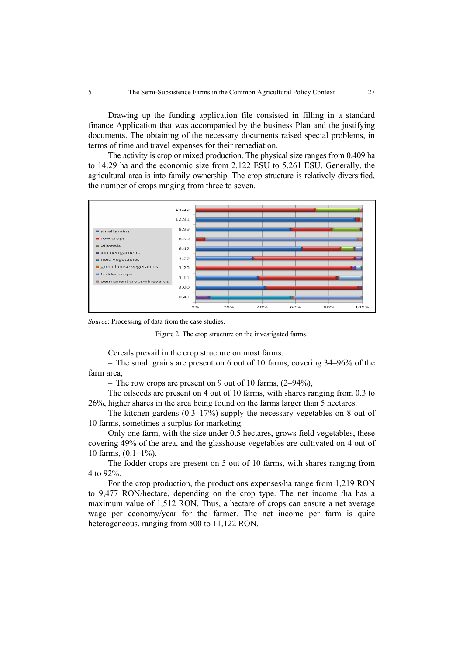Drawing up the funding application file consisted in filling in a standard finance Application that was accompanied by the business Plan and the justifying documents. The obtaining of the necessary documents raised special problems, in terms of time and travel expenses for their remediation.

The activity is crop or mixed production. The physical size ranges from 0.409 ha to 14.29 ha and the economic size from 2.122 ESU to 5.261 ESU. Generally, the agricultural area is into family ownership. The crop structure is relatively diversified, the number of crops ranging from three to seven.



*Source*: Processing of data from the case studies.

Figure 2. The crop structure on the investigated farms.

Cereals prevail in the crop structure on most farms:

– The small grains are present on 6 out of 10 farms, covering 34–96% of the farm area,

– The row crops are present on 9 out of 10 farms, (2–94%),

The oilseeds are present on 4 out of 10 farms, with shares ranging from 0.3 to 26%, higher shares in the area being found on the farms larger than 5 hectares.

The kitchen gardens (0.3–17%) supply the necessary vegetables on 8 out of 10 farms, sometimes a surplus for marketing.

Only one farm, with the size under 0.5 hectares, grows field vegetables, these covering 49% of the area, and the glasshouse vegetables are cultivated on 4 out of 10 farms,  $(0.1-1\%)$ .

The fodder crops are present on 5 out of 10 farms, with shares ranging from 4 to 92%.

For the crop production, the productions expenses/ha range from 1,219 RON to 9,477 RON/hectare, depending on the crop type. The net income /ha has a maximum value of 1,512 RON. Thus, a hectare of crops can ensure a net average wage per economy/year for the farmer. The net income per farm is quite heterogeneous, ranging from 500 to 11,122 RON.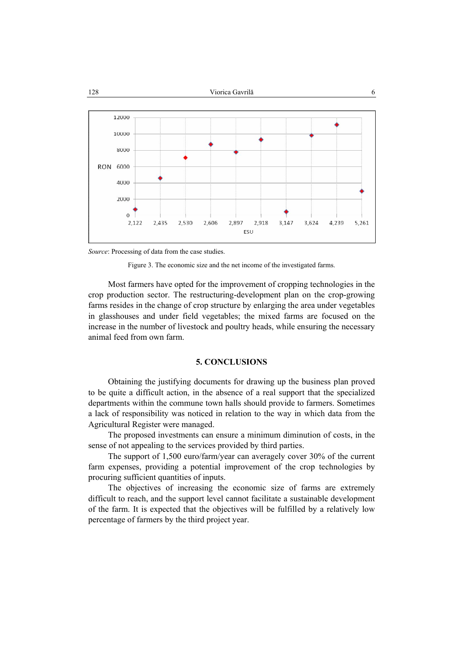



*Source*: Processing of data from the case studies.



Most farmers have opted for the improvement of cropping technologies in the crop production sector. The restructuring-development plan on the crop-growing farms resides in the change of crop structure by enlarging the area under vegetables in glasshouses and under field vegetables; the mixed farms are focused on the increase in the number of livestock and poultry heads, while ensuring the necessary animal feed from own farm.

## **5. CONCLUSIONS**

Obtaining the justifying documents for drawing up the business plan proved to be quite a difficult action, in the absence of a real support that the specialized departments within the commune town halls should provide to farmers. Sometimes a lack of responsibility was noticed in relation to the way in which data from the Agricultural Register were managed.

The proposed investments can ensure a minimum diminution of costs, in the sense of not appealing to the services provided by third parties.

The support of 1,500 euro/farm/year can averagely cover 30% of the current farm expenses, providing a potential improvement of the crop technologies by procuring sufficient quantities of inputs.

The objectives of increasing the economic size of farms are extremely difficult to reach, and the support level cannot facilitate a sustainable development of the farm. It is expected that the objectives will be fulfilled by a relatively low percentage of farmers by the third project year.